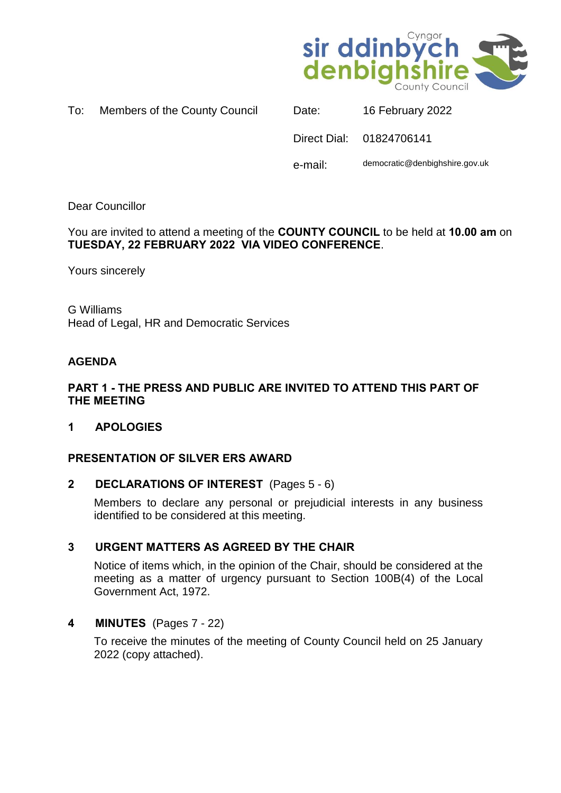

| To: | Members of the County Council |  |  |
|-----|-------------------------------|--|--|
|     |                               |  |  |

| Date:   | 16 February 2022               |
|---------|--------------------------------|
|         | Direct Dial: 01824706141       |
| e-mail: | democratic@denbighshire.gov.uk |

Dear Councillor

You are invited to attend a meeting of the **COUNTY COUNCIL** to be held at **10.00 am** on **TUESDAY, 22 FEBRUARY 2022 VIA VIDEO CONFERENCE**.

Yours sincerely

G Williams Head of Legal, HR and Democratic Services

### **AGENDA**

### **PART 1 - THE PRESS AND PUBLIC ARE INVITED TO ATTEND THIS PART OF THE MEETING**

**1 APOLOGIES** 

# **PRESENTATION OF SILVER ERS AWARD**

### **2 DECLARATIONS OF INTEREST** (Pages 5 - 6)

Members to declare any personal or prejudicial interests in any business identified to be considered at this meeting.

# **3 URGENT MATTERS AS AGREED BY THE CHAIR**

Notice of items which, in the opinion of the Chair, should be considered at the meeting as a matter of urgency pursuant to Section 100B(4) of the Local Government Act, 1972.

# **4 MINUTES** (Pages 7 - 22)

To receive the minutes of the meeting of County Council held on 25 January 2022 (copy attached).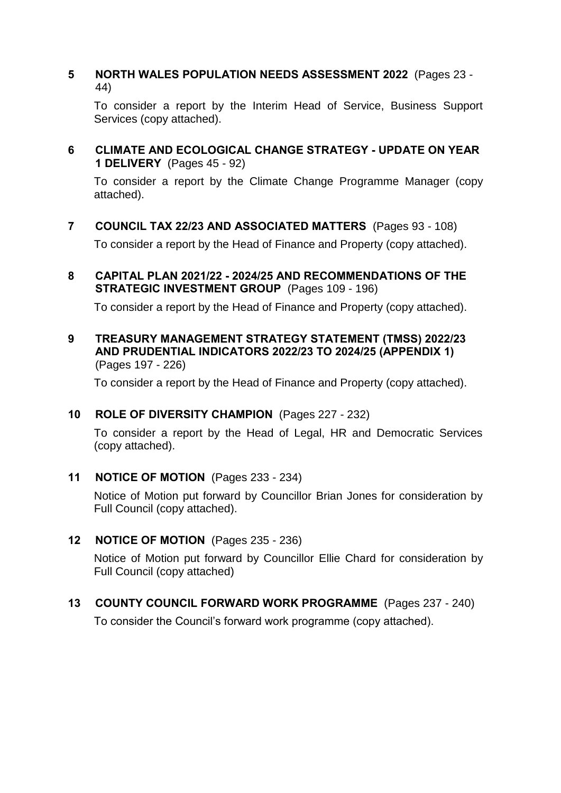### **5 NORTH WALES POPULATION NEEDS ASSESSMENT 2022** (Pages 23 - 44)

To consider a report by the Interim Head of Service, Business Support Services (copy attached).

**6 CLIMATE AND ECOLOGICAL CHANGE STRATEGY - UPDATE ON YEAR 1 DELIVERY** (Pages 45 - 92)

To consider a report by the Climate Change Programme Manager (copy attached).

**7 COUNCIL TAX 22/23 AND ASSOCIATED MATTERS** (Pages 93 - 108)

To consider a report by the Head of Finance and Property (copy attached).

**8 CAPITAL PLAN 2021/22 - 2024/25 AND RECOMMENDATIONS OF THE STRATEGIC INVESTMENT GROUP** (Pages 109 - 196)

To consider a report by the Head of Finance and Property (copy attached).

**9 TREASURY MANAGEMENT STRATEGY STATEMENT (TMSS) 2022/23 AND PRUDENTIAL INDICATORS 2022/23 TO 2024/25 (APPENDIX 1)** (Pages 197 - 226)

To consider a report by the Head of Finance and Property (copy attached).

# **10 ROLE OF DIVERSITY CHAMPION** (Pages 227 - 232)

To consider a report by the Head of Legal, HR and Democratic Services (copy attached).

**11 NOTICE OF MOTION** (Pages 233 - 234)

Notice of Motion put forward by Councillor Brian Jones for consideration by Full Council (copy attached).

### **12 NOTICE OF MOTION** (Pages 235 - 236)

Notice of Motion put forward by Councillor Ellie Chard for consideration by Full Council (copy attached)

**13 COUNTY COUNCIL FORWARD WORK PROGRAMME** (Pages 237 - 240)

To consider the Council's forward work programme (copy attached).